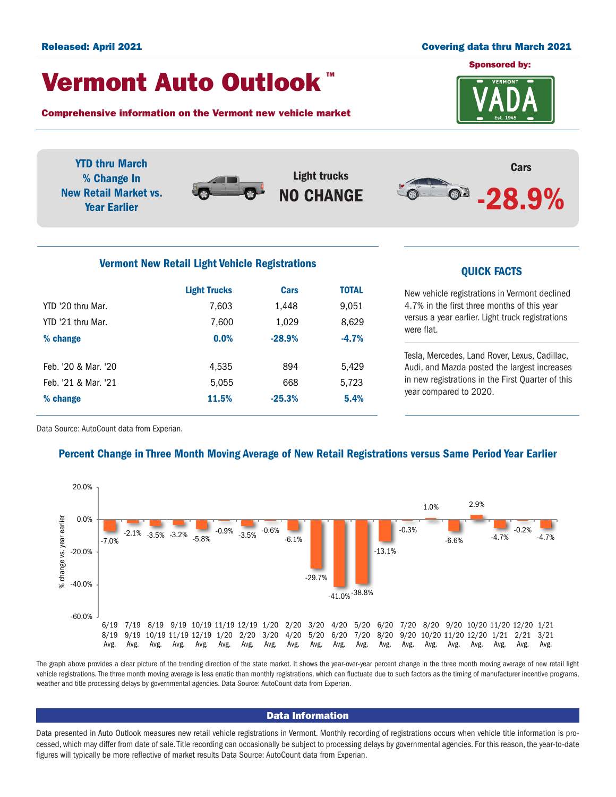### Released: April 2021 Covering data thru March 2021

# Vermont Auto Outlook TM

Comprehensive information on the Vermont new vehicle market



YTD thru March % Change In New Retail Market vs. Year Earlier



Light trucks NO CHANGE



# Vermont New Retail Light Vehicle Registrations<br>
QUICK FACTS

|                     | <b>Light Trucks</b> | <b>Cars</b> | <b>TOTAL</b> |  |
|---------------------|---------------------|-------------|--------------|--|
| YTD '20 thru Mar.   | 7,603               | 1,448       | 9,051        |  |
| YTD '21 thru Mar.   | 7,600               | 1,029       | 8,629        |  |
| % change            | 0.0%                | $-28.9%$    | $-4.7%$      |  |
|                     |                     |             |              |  |
| Feb. '20 & Mar. '20 | 4,535               | 894         | 5,429        |  |
| Feb. '21 & Mar. '21 | 5,055               | 668         | 5,723        |  |
| % change            | 11.5%               | $-25.3%$    | 5.4%         |  |
|                     |                     |             |              |  |

New vehicle registrations in Vermont declined 4.7% in the first three months of this year versus a year earlier. Light truck registrations were flat.

Tesla, Mercedes, Land Rover, Lexus, Cadillac, Audi, and Mazda posted the largest increases in new registrations in the First Quarter of this year compared to 2020.

Data Source: AutoCount data from Experian.

## Percent Change in Three Month Moving Average of New Retail Registrations versus Same Period Year Earlier



The graph above provides a clear picture of the trending direction of the state market. It shows the year-over-year percent change in the three month moving average of new retail light vehicle registrations. The three month moving average is less erratic than monthly registrations, which can fluctuate due to such factors as the timing of manufacturer incentive programs, weather and title processing delays by governmental agencies. Data Source: AutoCount data from Experian.

#### Data Information

Data presented in Auto Outlook measures new retail vehicle registrations in Vermont. Monthly recording of registrations occurs when vehicle title information is processed, which may differ from date of sale. Title recording can occasionally be subject to processing delays by governmental agencies. For this reason, the year-to-date figures will typically be more reflective of market results Data Source: AutoCount data from Experian.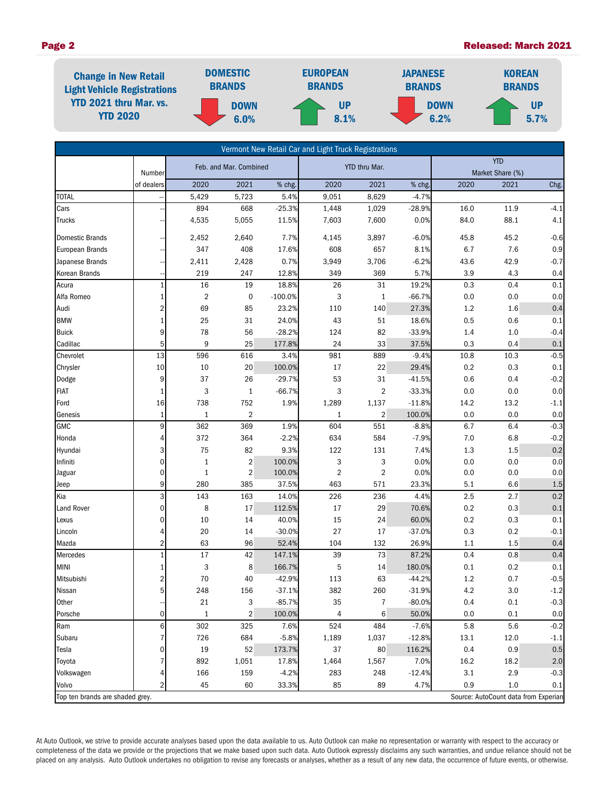#### Page 2 Released: March 2021



|                                 |                |                        |                         |           | Vermont New Retail Car and Light Truck Registrations |                |            |         |                                      |        |
|---------------------------------|----------------|------------------------|-------------------------|-----------|------------------------------------------------------|----------------|------------|---------|--------------------------------------|--------|
|                                 |                | Feb. and Mar. Combined |                         |           | YTD thru Mar.                                        |                | <b>YTD</b> |         |                                      |        |
|                                 | Number         |                        |                         |           |                                                      |                |            |         | Market Share (%)                     |        |
|                                 | of dealers     | 2020                   | 2021                    | % chg.    | 2020                                                 | 2021           | % chg.     | 2020    | 2021                                 | Chg.   |
| <b>TOTAL</b>                    |                | 5,429                  | 5,723                   | 5.4%      | 9,051                                                | 8,629          | $-4.7%$    |         |                                      |        |
| Cars                            |                | 894                    | 668                     | $-25.3%$  | 1,448                                                | 1,029          | $-28.9%$   | 16.0    | 11.9                                 | $-4.1$ |
| <b>Trucks</b>                   |                | 4,535                  | 5,055                   | 11.5%     | 7,603                                                | 7,600          | 0.0%       | 84.0    | 88.1                                 | 4.1    |
| <b>Domestic Brands</b>          |                | 2,452                  | 2,640                   | 7.7%      | 4,145                                                | 3,897          | $-6.0%$    | 45.8    | 45.2                                 | $-0.6$ |
| <b>European Brands</b>          |                | 347                    | 408                     | 17.6%     | 608                                                  | 657            | 8.1%       | 6.7     | 7.6                                  | 0.9    |
| Japanese Brands                 |                | 2,411                  | 2,428                   | 0.7%      | 3,949                                                | 3,706          | $-6.2%$    | 43.6    | 42.9                                 | $-0.7$ |
| Korean Brands                   |                | 219                    | 247                     | 12.8%     | 349                                                  | 369            | 5.7%       | 3.9     | 4.3                                  | 0.4    |
| Acura                           |                | 16                     | 19                      | 18.8%     | 26                                                   | 31             | 19.2%      | 0.3     | 0.4                                  | 0.1    |
| Alfa Romeo                      |                | $\overline{2}$         | $\mathbf 0$             | $-100.0%$ | 3                                                    | $\mathbf{1}$   | $-66.7%$   | 0.0     | 0.0                                  | 0.0    |
| Audi                            | 2              | 69                     | 85                      | 23.2%     | 110                                                  | 140            | 27.3%      | 1.2     | 1.6                                  | 0.4    |
| <b>BMW</b>                      |                | 25                     | 31                      | 24.0%     | 43                                                   | 51             | 18.6%      | 0.5     | 0.6                                  | 0.1    |
| <b>Buick</b>                    | 9              | 78                     | 56                      | $-28.2%$  | 124                                                  | 82             | $-33.9%$   | 1.4     | 1.0                                  | $-0.4$ |
| Cadillac                        | 5              | 9                      | 25                      | 177.8%    | 24                                                   | 33             | 37.5%      | 0.3     | 0.4                                  | 0.1    |
| Chevrolet                       | 13             | 596                    | 616                     | 3.4%      | 981                                                  | 889            | $-9.4%$    | 10.8    | 10.3                                 | $-0.5$ |
| Chrysler                        | 10             | 10                     | $20\,$                  | 100.0%    | 17                                                   | 22             | 29.4%      | 0.2     | 0.3                                  | 0.1    |
| Dodge                           | 9              | 37                     | 26                      | $-29.7%$  | 53                                                   | 31             | $-41.5%$   | 0.6     | 0.4                                  | $-0.2$ |
| <b>FIAT</b>                     |                | 3                      | $\mathbf{1}$            | $-66.7%$  | 3                                                    | $\overline{2}$ | $-33.3%$   | 0.0     | 0.0                                  | 0.0    |
| Ford                            | 16             | 738                    | 752                     | 1.9%      | 1,289                                                | 1,137          | $-11.8%$   | 14.2    | 13.2                                 | $-1.1$ |
| Genesis                         | 1              | $\mathbf{1}$           | 2                       |           | 1                                                    | $\overline{2}$ | 100.0%     | 0.0     | 0.0                                  | 0.0    |
| <b>GMC</b>                      | 9              | 362                    | 369                     | 1.9%      | 604                                                  | 551            | $-8.8%$    | 6.7     | 6.4                                  | $-0.3$ |
| Honda                           | 4              | 372                    | 364                     | $-2.2%$   | 634                                                  | 584            | $-7.9%$    | 7.0     | 6.8                                  | $-0.2$ |
| Hyundai                         | 3              | 75                     | 82                      | 9.3%      | 122                                                  | 131            | 7.4%       | 1.3     | 1.5                                  | 0.2    |
| Infiniti                        | 0              | $\mathbf{1}$           | $\overline{\mathbf{c}}$ | 100.0%    | 3                                                    | 3              | 0.0%       | 0.0     | 0.0                                  | 0.0    |
| Jaguar                          | 0              | $\mathbf{1}$           | $\overline{2}$          | 100.0%    | $\overline{\mathbf{c}}$                              | $\overline{2}$ | 0.0%       | 0.0     | 0.0                                  | 0.0    |
| Jeep                            | 9              | 280                    | 385                     | 37.5%     | 463                                                  | 571            | 23.3%      | 5.1     | 6.6                                  | 1.5    |
| Kia                             | 3              | 143                    | 163                     | 14.0%     | 226                                                  | 236            | 4.4%       | 2.5     | 2.7                                  | 0.2    |
| Land Rover                      | 0              | 8                      | 17                      | 112.5%    | 17                                                   | 29             | 70.6%      | 0.2     | 0.3                                  | 0.1    |
| Lexus                           | 0              | 10                     | 14                      | 40.0%     | 15                                                   | 24             | 60.0%      | 0.2     | 0.3                                  | 0.1    |
| Lincoln                         | 4              | 20                     | 14                      | $-30.0%$  | 27                                                   | 17             | $-37.0%$   | 0.3     | 0.2                                  | $-0.1$ |
| Mazda                           | 2              | 63                     | 96                      | 52.4%     | 104                                                  | 132            | 26.9%      | 1.1     | 1.5                                  | 0.4    |
| Mercedes                        |                | $17\,$                 | 42                      | 147.1%    | 39                                                   | 73             | 87.2%      | 0.4     | 0.8                                  | 0.4    |
| <b>MINI</b>                     |                | 3                      | 8                       | 166.7%    | 5                                                    | 14             | 180.0%     | 0.1     | 0.2                                  | 0.1    |
| Mitsubishi                      | 2              | 70                     | 40                      | $-42.9%$  | 113                                                  | 63             | $-44.2%$   | $1.2\,$ | 0.7                                  | $-0.5$ |
| Nissan                          | 5 <sup>1</sup> | 248                    | 156                     | $-37.1%$  | 382                                                  | 260            | $-31.9%$   | 4.2     | 3.0                                  | $-1.2$ |
| Other                           |                | 21                     | 3                       | $-85.7%$  | 35                                                   | 7              | $-80.0%$   | 0.4     | 0.1                                  | $-0.3$ |
| Porsche                         | $\mathbf{0}$   | $\mathbf{1}$           | $\overline{2}$          | 100.0%    | 4                                                    | 6              | 50.0%      | 0.0     | 0.1                                  | 0.0    |
| Ram                             | 6              | 302                    | 325                     | 7.6%      | 524                                                  | 484            | $-7.6%$    | 5.8     | 5.6                                  | $-0.2$ |
| Subaru                          | 7              | 726                    | 684                     | $-5.8%$   | 1,189                                                | 1,037          | $-12.8%$   | 13.1    | 12.0                                 | $-1.1$ |
| Tesla                           | 0              | 19                     | 52                      | 173.7%    | 37                                                   | 80             | 116.2%     | 0.4     | 0.9                                  | 0.5    |
| Toyota                          | 7              | 892                    | 1,051                   | 17.8%     | 1,464                                                | 1,567          | 7.0%       | 16.2    | 18.2                                 | 2.0    |
| Volkswagen                      |                | 166                    | 159                     | $-4.2%$   | 283                                                  | 248            | $-12.4%$   | 3.1     | 2.9                                  | $-0.3$ |
| Volvo                           | 2              | 45                     | 60                      | 33.3%     | 85                                                   | 89             | 4.7%       | 0.9     | 1.0                                  | 0.1    |
| Top ten brands are shaded grey. |                |                        |                         |           |                                                      |                |            |         | Source: AutoCount data from Experian |        |

At Auto Outlook, we strive to provide accurate analyses based upon the data available to us. Auto Outlook can make no representation or warranty with respect to the accuracy or completeness of the data we provide or the projections that we make based upon such data. Auto Outlook expressly disclaims any such warranties, and undue reliance should not be placed on any analysis. Auto Outlook undertakes no obligation to revise any forecasts or analyses, whether as a result of any new data, the occurrence of future events, or otherwise.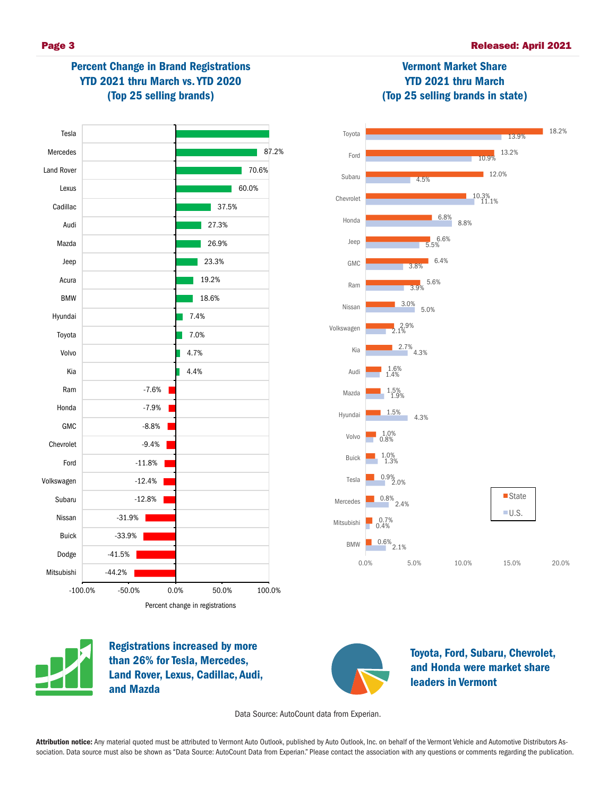

# Percent Change in Brand Registrations YTD 2021 thru March vs. YTD 2020 (Top 25 selling brands)





Vermont Market Share YTD 2021 thru March



Registrations increased by more than 26% for Tesla, Mercedes, Land Rover, Lexus, Cadillac, Audi, and Mazda



Toyota, Ford, Subaru, Chevrolet, and Honda were market share leaders in Vermont

Data Source: AutoCount data from Experian.

Attribution notice: Any material quoted must be attributed to Vermont Auto Outlook, published by Auto Outlook, Inc. on behalf of the Vermont Vehicle and Automotive Distributors Association. Data source must also be shown as "Data Source: AutoCount Data from Experian." Please contact the association with any questions or comments regarding the publication.